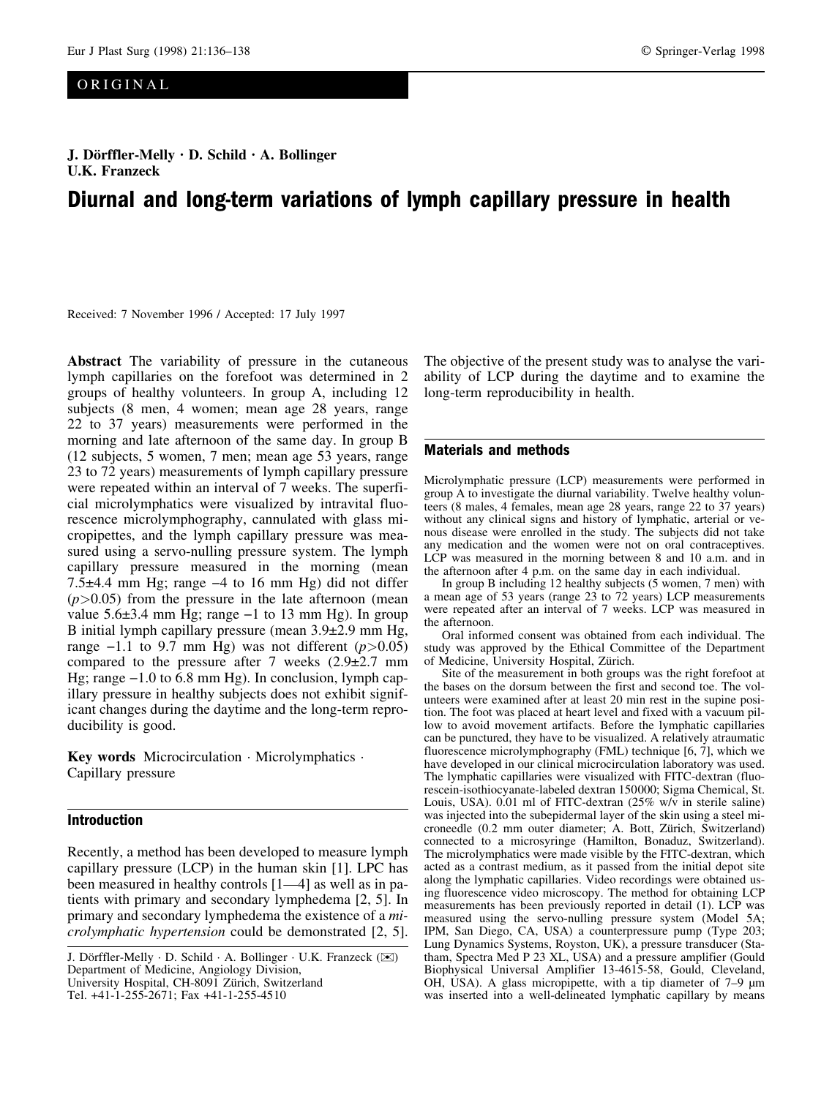# ORIGINAL

# J. Dörffler-Melly · D. Schild · A. Bollinger U.K. Franzeck

# Diurnal and long-term variations of lymph capillary pressure in health

Received: 7 November 1996 / Accepted: 17 July 1997

Abstract The variability of pressure in the cutaneous lymph capillaries on the forefoot was determined in 2 groups of healthy volunteers. In group A, including 12 subjects (8 men, 4 women; mean age 28 years, range 22 to 37 years) measurements were performed in the morning and late afternoon of the same day. In group B (12 subjects, 5 women, 7 men; mean age 53 years, range 23 to 72 years) measurements of lymph capillary pressure were repeated within an interval of 7 weeks. The superficial microlymphatics were visualized by intravital fluorescence microlymphography, cannulated with glass micropipettes, and the lymph capillary pressure was measured using a servo-nulling pressure system. The lymph capillary pressure measured in the morning (mean 7.5 $\pm$ 4.4 mm Hg; range  $-4$  to 16 mm Hg) did not differ  $(p>0.05)$  from the pressure in the late afternoon (mean value  $5.6\pm3.4$  mm Hg; range  $-1$  to 13 mm Hg). In group B initial lymph capillary pressure (mean  $3.9\pm2.9$  mm Hg, range  $-1.1$  to 9.7 mm Hg) was not different ( $p > 0.05$ ) compared to the pressure after 7 weeks  $(2.9\pm 2.7 \text{ mm})$ Hg; range  $-1.0$  to 6.8 mm Hg). In conclusion, lymph capillary pressure in healthy subjects does not exhibit significant changes during the daytime and the long-term reproducibility is good.

Key words Microcirculation  $\cdot$  Microlymphatics  $\cdot$ Capillary pressure

### Introduction

Recently, a method has been developed to measure lymph capillary pressure (LCP) in the human skin [1]. LPC has been measured in healthy controls  $[1-4]$  as well as in patients with primary and secondary lymphedema [2, 5]. In primary and secondary lymphedema the existence of a microlymphatic hypertension could be demonstrated [2, 5]. The objective of the present study was to analyse the variability of LCP during the daytime and to examine the long-term reproducibility in health.

#### Materials and methods

Microlymphatic pressure (LCP) measurements were performed in group A to investigate the diurnal variability. Twelve healthy volunteers (8 males, 4 females, mean age 28 years, range 22 to 37 years) without any clinical signs and history of lymphatic, arterial or venous disease were enrolled in the study. The subjects did not take any medication and the women were not on oral contraceptives. LCP was measured in the morning between 8 and 10 a.m. and in the afternoon after 4 p.m. on the same day in each individual.

In group B including 12 healthy subjects (5 women, 7 men) with a mean age of 53 years (range 23 to 72 years) LCP measurements were repeated after an interval of 7 weeks. LCP was measured in the afternoon.

Oral informed consent was obtained from each individual. The study was approved by the Ethical Committee of the Department of Medicine, University Hospital, Zürich.

Site of the measurement in both groups was the right forefoot at the bases on the dorsum between the first and second toe. The volunteers were examined after at least 20 min rest in the supine position. The foot was placed at heart level and fixed with a vacuum pillow to avoid movement artifacts. Before the lymphatic capillaries can be punctured, they have to be visualized. A relatively atraumatic fluorescence microlymphography (FML) technique [6, 7], which we have developed in our clinical microcirculation laboratory was used. The lymphatic capillaries were visualized with FITC-dextran (fluorescein-isothiocyanate-labeled dextran 150000; Sigma Chemical, St. Louis, USA). 0.01 ml of FITC-dextran (25% w/v in sterile saline) was injected into the subepidermal layer of the skin using a steel microneedle (0.2 mm outer diameter; A. Bott, Zürich, Switzerland) connected to a microsyringe (Hamilton, Bonaduz, Switzerland). The microlymphatics were made visible by the FITC-dextran, which acted as a contrast medium, as it passed from the initial depot site along the lymphatic capillaries. Video recordings were obtained using fluorescence video microscopy. The method for obtaining LCP measurements has been previously reported in detail (1). LCP was measured using the servo-nulling pressure system (Model 5A; IPM, San Diego, CA, USA) a counterpressure pump (Type 203; Lung Dynamics Systems, Royston, UK), a pressure transducer (Statham, Spectra Med P 23 XL, USA) and a pressure amplifier (Gould Biophysical Universal Amplifier 13-4615-58, Gould, Cleveland, OH, USA). A glass micropipette, with a tip diameter of  $7-9 \mu m$ was inserted into a well-delineated lymphatic capillary by means

J. Dörffler-Melly · D. Schild · A. Bollinger · U.K. Franzeck ( $\boxtimes$ ) Department of Medicine, Angiology Division, University Hospital, CH-8091 Zürich, Switzerland Tel. +41-1-255-2671; Fax +41-1-255-4510